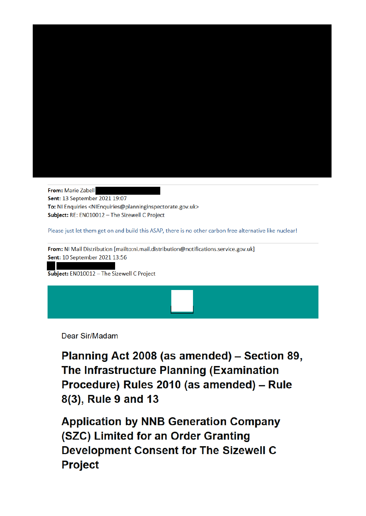

From: Marie Zabell Sent: 13 September 2021 19:07 To: NI Enquiries <NIEnquiries@planninginspectorate.gov.uk> Subject: RE: EN010012 - The Sizewell C Project

Please just let them get on and build this ASAP, there is no other carbon free alternative like nuclear!

From: NI Mail Distribution [mailto:ni.mail.distribution@notifications.service.gov.uk] Sent: 10 September 2021 13:56

Subject: EN010012 - The Sizewell C Project

Dear Sir/Madam

Planning Act 2008 (as amended) - Section 89, The Infrastructure Planning (Examination Procedure) Rules 2010 (as amended) - Rule 8(3), Rule 9 and 13

**Application by NNB Generation Company** (SZC) Limited for an Order Granting **Development Consent for The Sizewell C Project**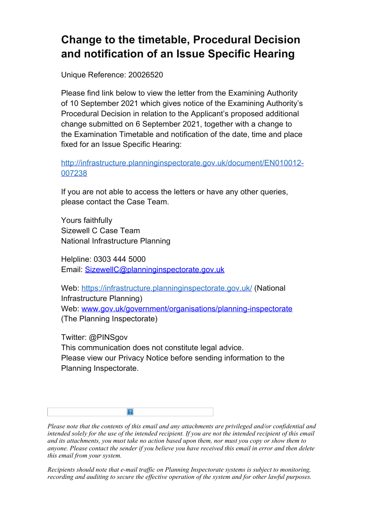## **Change to the timetable, Procedural Decision and notification of an Issue Specific Hearing**

Unique Reference: 20026520

Please find link below to view the letter from the Examining Authority of 10 September 2021 which gives notice of the Examining Authority's Procedural Decision in relation to the Applicant's proposed additional change submitted on 6 September 2021, together with a change to the Examination Timetable and notification of the date, time and place fixed for an Issue Specific Hearing:

http://infrastructure.planninginspectorate.gov.uk/document/EN010012- 007238

If you are not able to access the letters or have any other queries, please contact the Case Team.

Yours faithfully Sizewell C Case Team National Infrastructure Planning

Helpline: 0303 444 5000 Email: SizewellC@planninginspectorate.gov.uk

Web: https://infrastructure.planninginspectorate.gov.uk/ (National Infrastructure Planning) Web: www.gov.uk/government/organisations/planning-inspectorate (The Planning Inspectorate)

Twitter: @PINSgov This communication does not constitute legal advice. Please view our Privacy Notice before sending information to the Planning Inspectorate.

*Please note that the contents of this email and any attachments are privileged and/or confidential and intended solely for the use of the intended recipient. If you are not the intended recipient of this email and its attachments, you must take no action based upon them, nor must you copy or show them to anyone. Please contact the sender if you believe you have received this email in error and then delete this email from your system.*

*Recipients should note that e-mail traffic on Planning Inspectorate systems is subject to monitoring, recording and auditing to secure the effective operation of the system and for other lawful purposes.*